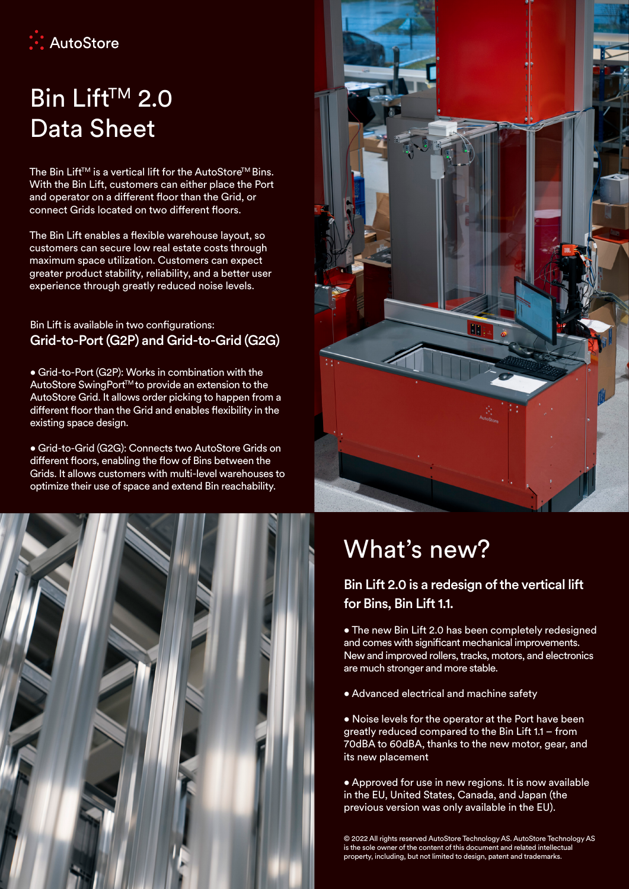

## Bin Lift<sup>™</sup> 2.0 Data Sheet

The Bin Lift™ is a vertical lift for the AutoStore<sup>™</sup> Bins. With the Bin Lift, customers can either place the Port and operator on a different floor than the Grid, or connect Grids located on two different floors.

The Bin Lift enables a flexible warehouse layout, so customers can secure low real estate costs through maximum space utilization. Customers can expect greater product stability, reliability, and a better user experience through greatly reduced noise levels.

## Bin Lift is available in two configurations: Grid-to-Port (G2P) and Grid-to-Grid (G2G)

• Grid-to-Port (G2P): Works in combination with the AutoStore SwingPort™to provide an extension to the AutoStore Grid. It allows order picking to happen from a different floor than the Grid and enables flexibility in the existing space design.

• Grid-to-Grid (G2G): Connects two AutoStore Grids on different floors, enabling the flow of Bins between the Grids. It allows customers with multi-level warehouses to optimize their use of space and extend Bin reachability.





## What's new?

Bin Lift 2.0 is a redesign of the vertical lift for Bins, Bin Lift 1.1.

• The new Bin Lift 2.0 has been completely redesigned and comes with significant mechanical improvements. New and improved rollers, tracks, motors, and electronics are much stronger and more stable.

• Advanced electrical and machine safety

• Noise levels for the operator at the Port have been greatly reduced compared to the Bin Lift 1.1 – from 70dBA to 60dBA, thanks to the new motor, gear, and its new placement

• Approved for use in new regions. It is now available in the EU, United States, Canada, and Japan (the previous version was only available in the EU).

© 2022 All rights reserved AutoStore Technology AS. AutoStore Technology AS is the sole owner of the content of this document and related intellectual property, including, but not limited to design, patent and trademarks.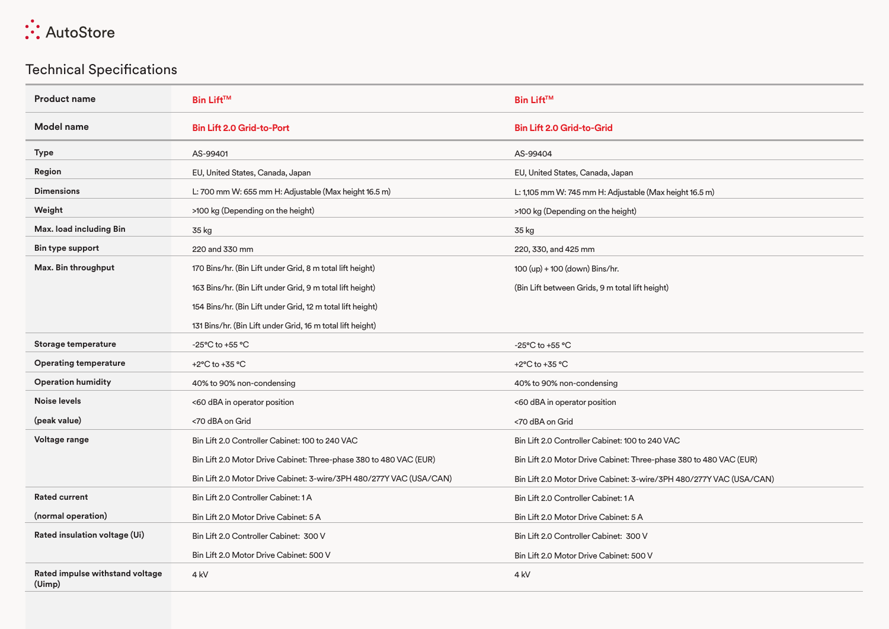

## Technical Specifications

| <b>Product name</b>                       | <b>Bin Lift<sup>™</sup></b>                                         | <b>Bin Lift™</b>                                                    |
|-------------------------------------------|---------------------------------------------------------------------|---------------------------------------------------------------------|
| <b>Model name</b>                         | <b>Bin Lift 2.0 Grid-to-Port</b>                                    | <b>Bin Lift 2.0 Grid-to-Grid</b>                                    |
| <b>Type</b>                               | AS-99401                                                            | AS-99404                                                            |
| Region                                    | EU, United States, Canada, Japan                                    | EU, United States, Canada, Japan                                    |
| <b>Dimensions</b>                         | L: 700 mm W: 655 mm H: Adjustable (Max height 16.5 m)               | L: 1,105 mm W: 745 mm H: Adjustable (Max height 16.5 m)             |
| Weight                                    | >100 kg (Depending on the height)                                   | >100 kg (Depending on the height)                                   |
| Max. load including Bin                   | 35 kg                                                               | 35 kg                                                               |
| Bin type support                          | 220 and 330 mm                                                      | 220, 330, and 425 mm                                                |
| Max. Bin throughput                       | 170 Bins/hr. (Bin Lift under Grid, 8 m total lift height)           | 100 (up) + 100 (down) Bins/hr.                                      |
|                                           | 163 Bins/hr. (Bin Lift under Grid, 9 m total lift height)           | (Bin Lift between Grids, 9 m total lift height)                     |
|                                           | 154 Bins/hr. (Bin Lift under Grid, 12 m total lift height)          |                                                                     |
|                                           | 131 Bins/hr. (Bin Lift under Grid, 16 m total lift height)          |                                                                     |
| Storage temperature                       | -25°C to +55 °C                                                     | -25°C to +55 °C                                                     |
| <b>Operating temperature</b>              | +2°C to +35 °C                                                      | +2°C to +35 °C                                                      |
| <b>Operation humidity</b>                 | 40% to 90% non-condensing                                           | 40% to 90% non-condensing                                           |
| <b>Noise levels</b>                       | <60 dBA in operator position                                        | <60 dBA in operator position                                        |
| (peak value)                              | <70 dBA on Grid                                                     | <70 dBA on Grid                                                     |
| Voltage range                             | Bin Lift 2.0 Controller Cabinet: 100 to 240 VAC                     | Bin Lift 2.0 Controller Cabinet: 100 to 240 VAC                     |
|                                           | Bin Lift 2.0 Motor Drive Cabinet: Three-phase 380 to 480 VAC (EUR)  | Bin Lift 2.0 Motor Drive Cabinet: Three-phase 380 to 480 VAC (EUR)  |
|                                           | Bin Lift 2.0 Motor Drive Cabinet: 3-wire/3PH 480/277Y VAC (USA/CAN) | Bin Lift 2.0 Motor Drive Cabinet: 3-wire/3PH 480/277Y VAC (USA/CAN) |
| <b>Rated current</b>                      | Bin Lift 2.0 Controller Cabinet: 1A                                 | Bin Lift 2.0 Controller Cabinet: 1 A                                |
| (normal operation)                        | Bin Lift 2.0 Motor Drive Cabinet: 5 A                               | Bin Lift 2.0 Motor Drive Cabinet: 5 A                               |
| Rated insulation voltage (Ui)             | Bin Lift 2.0 Controller Cabinet: 300 V                              | Bin Lift 2.0 Controller Cabinet: 300 V                              |
|                                           | Bin Lift 2.0 Motor Drive Cabinet: 500 V                             | Bin Lift 2.0 Motor Drive Cabinet: 500 V                             |
| Rated impulse withstand voltage<br>(Uimp) | 4 <sub>kV</sub>                                                     | 4 <sub>kV</sub>                                                     |